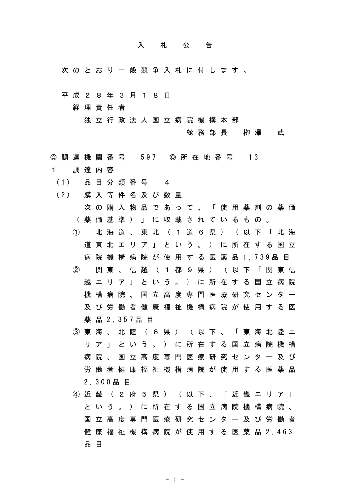## 入 札 公 告

- 次 の と お り ー 般 競 争 入 札 に 付 し ま す 。
- 平 成 2 8 年 3 月 1 8 日

経 理 責 任 者

独 立 行 政 法 人 国 立 病 院 機 構 本 部

総 務 部 長 栁 澤 武

- ◎ 調 達 機 関 番 号 597 ◎ 所 在 地 番 号 13 1 調 達 内 容
- ( 1 ) 品 目 分 類 番 号 4
- (2) 購入等件名及び数量
	- 次 の 購 入 物 品 で あ っ て 、 「 使 用 薬 剤 の 薬 価 ( 薬 価 基 準 ) 」 に 収 載 さ れ て い る も の 。
	- ① 北 海 道 、 東 北 ( 1 道 6 県 ) ( 以 下 「 北 海 道 東 北 エ リ ア 」 と い う 。 ) に 所 在 す る 国 立 病 院 機 構 病 院 が 使 用 す る 医 薬 品 1 , 7 3 9 品 目 ② 関 東 、 信 越 ( 1 都 9 県 ) ( 以 下 「 関 東 信
	- 越 エ リ ア 」 と い う 。 ) に 所 在 す る 国 立 病 院 機 構 病 院 、 国 立 高 度 専 門 医 療 研 究 セ ン タ ー 及 び 労 働 者 健 康 福 祉 機 構 病 院 が 使 用 す る 医 薬 品 2 , 3 5 7 品 目
	- ③ 東 海 、 北 陸 ( 6 県 ) ( 以 下 、 「 東 海 北 陸 エ リ ア 」 と い う 。 ) に 所 在 す る 国 立 病 院 機 構 病 院 、 国 立 高 度 専 門 医 療 研 究 セ ン タ ー 及 び 労 働 者 健 康 福 祉 機 構 病 院 が 使 用 す る 医 薬 品 2 , 3 0 0 品 目
	- ④ 近 畿 ( 2 府 5 県 ) ( 以 下 、 「 近 畿 エ リ ア 」 と い う 。 ) に 所 在 す る 国 立 病 院 機 構 病 院 、 国 立 高 度 専 門 医 療 研 究 セ ン タ ー 及 び 労 働 者 健 康 福 祉 機 構 病 院 が 使 用 す る 医 薬 品 2 , 4 6 3 品 目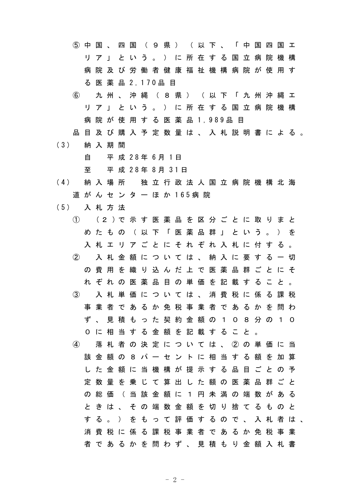⑤ 中 国 、 四 国 ( 9 県 ) ( 以 下 、 「 中 国 四 国 エ リ ア 」 と い う 。 ) に 所 在 す る 国 立 病 院 機 構 病 院 及 び 労 働 者 健 康 福 祉 機 構 病 院 が 使 用 す る 医 薬 品 2 , 1 7 0 品 目

- ⑥ 九 州 、 沖 縄 ( 8 県 ) ( 以 下 「 九 州 沖 縄 エ リ ア 」 と い う 。 ) に 所 在 す る 国 立 病 院 機 構 病 院 が 使 用 す る 医 薬 品 1 , 989品 目
- 品 目 及 び 購 入 予 定 数 量 は 、 入 札 説 明 書 に よ る 。
- ( 3 ) 納 入 期 間

自 平 成 2 8 年 6 月 1 日

至 平 成 2 8 年 8 月 3 1 日

- ( 4 ) 納 入 場 所 独 立 行 政 法 人 国 立 病 院 機 構 北 海 道 が ん セ ン タ ー ほ か 1 6 5 病 院
- ( 5 ) 入 札 方 法
	- ① ( 2 ) で 示 す 医 薬 品 を 区 分 ご と に 取 り ま と め た も の ( 以 下 「 医 薬 品 群 」 と い う 。 ) を 入 札 エ リ ア ご と に そ れ ぞ れ 入 札 に 付 す る 。 ② 入 札 金 額 に つ い て は 、 納 入 に 要 す る 一 切 の 費 用 を 織 り 込 ん だ 上 で 医 薬 品 群 ご と に そ れ ぞ れ の 医 薬 品 目 の 単 価 を 記 載 す る こ と 。 ③ 入 札 単 価 に つ い て は 、 消 費 税 に 係 る 課 税 事 業 者 で あ る か 免 税 事 業 者 で あ る か を 問 わ ず 、 見 積 も っ た 契 約 金 額 の 1 0 8 分 の 1 0 0 に 相 当 す る 金 額 を 記 載 す る こ と 。 ④ 落 札 者 の 決 定 に つ い て は 、 ② の 単 価 に 当 該 金 額 の 8 パ ー セ ン ト に 相 当 す る 額 を 加 算 し た 金 額 に 当 機 構 が 提 示 す る 品 目 ご と の 予 定 数 量 を 乗 じ て 算 出 し た 額 の 医 薬 品 群 ご と の 総 価 ( 当 該 金 額 に 1 円 未 満 の 端 数 が あ る と き は 、 そ の 端 数 金 額 を 切 り 捨 て る も の と す る 。 ) を も っ て 評 価 す る の で 、 入 札 者 は 、 消 費 税 に 係 る 課 税 事 業 者 で あ る か 免 税 事 業 者 で あ る か を 問 わ ず 、 見 積 も り 金 額 入 札 書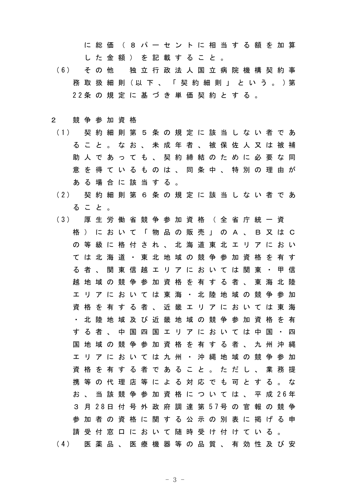に 総 価 ( 8 パ ー セ ン ト に 相 当 す る 額 を 加 算 し た 金 額 ) を 記 載 す る こ と 。

( 6 ) そ の 他 独 立 行 政 法 人 国 立 病 院 機 構 契 約 事 務 取 扱 細 則 (以 下 、 「 契 約 細 則 」 と い う 。 ) 第 2 2 条 の 規 定 に 基 づ き 単 価 契 約 と す る 。

## 2 競 争 参 加 資 格

- ( 1 ) 契 約 細 則 第 5 条 の 規 定 に 該 当 し な い 者 で あ る こ と 。 な お 、 未 成 年 者 、 被 保 佐 人 又 は 被 補 助 人 で あ っ て も 、 契 約 締 結 の た め に 必 要 な 同 意 を 得 て い る も の は 、 同 条 中 、 特 別 の 理 由 が あ る 場 合 に 該 当 す る 。
- ( 2 ) 契 約 細 則 第 6 条 の 規 定 に 該 当 し な い 者 で あ る こ と 。
- ( 3 ) 厚 生 労 働 省 競 争 参 加 資 格 ( 全 省 庁 統 一 資 格 ) に お い て 「 物 品 の 販 売 」 の A 、 B 又 は C の 等 級 に 格 付 さ れ 、 北 海 道 東 北 エ リ ア に お い て は 北 海 道 ・ 東 北 地 域 の 競 争 参 加 資 格 を 有 す る 者 、 関 東 信 越 エ リ ア に お い て は 関 東 ・ 甲 信 越 地 域 の 競 争 参 加 資 格 を 有 す る 者 、 東 海 北 陸 エ リ ア に お い て は 東 海 ・ 北 陸 地 域 の 競 争 参 加 資 格 を 有 す る 者 、 近 畿 エ リ ア に お い て は 東 海 ・ 北 陸 地 域 及 び 近 畿 地 域 の 競 争 参 加 資 格 を 有 す る 者 、 中 国 四 国 エ リ ア に お い て は 中 国 ・ 四 国 地 域 の 競 争 参 加 資 格 を 有 す る 者 、 九 州 沖 縄 エ リ ア に お い て は 九 州 ・ 沖 縄 地 域 の 競 争 参 加 資 格 を 有 す る 者 で あ る こ と 。 た だ し 、 業 務 提 携 等 の 代 理 店 等 に よ る 対 応 で も 可 と す る 。 な お 、 当 該 競 争 参 加 資 格 に つ い て は 、 平 成 2 6 年 3 月 2 8 日 付 号 外 政 府 調 達 第 5 7 号 の 官 報 の 競 争 参 加 者 の 資 格 に 関 す る 公 示 の 別 表 に 掲 げ る 申 請 受 付 窓 口 に お い て 随 時 受 け 付 け て い る 。 ( 4 ) 医 薬 品 、 医 療 機 器 等 の 品 質 、 有 効 性 及 び 安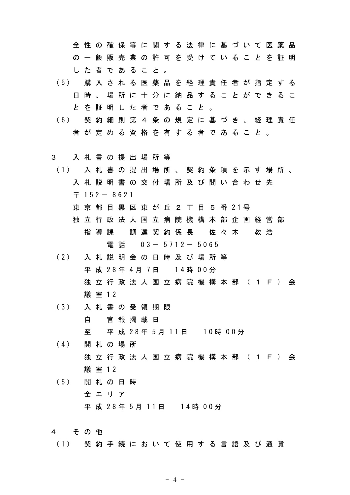全 性 の 確 保 等 に 関 す る 法 律 に 基 づ い て 医 薬 品 の 一 般 販 売 業 の 許 可 を 受 け て い る こ と を 証 明 し た 者 で あ る こ と 。

- ( 5 ) 購 入 さ れ る 医 薬 品 を 経 理 責 任 者 が 指 定 す る 日 時 、 場 所 に 十 分 に 納 品 す る こ と が で き る こ と を 証 明 し た 者 で あ る こ と 。
- ( 6 ) 契 約 細 則 第 4 条 の 規 定 に 基 づ き 、 経 理 責 任 者 が 定 め る 資 格 を 有 す る 者 で あ る こ と 。
- 3 入 札 書 の 提 出 場 所 等
- ( 1 ) 入 札 書 の 提 出 場 所 、 契 約 条 項 を 示 す 場 所 、 入 札 説 明 書 の 交 付 場 所 及 び 問 い 合 わ せ 先  $\overline{7}$  152 - 8621
	- 東 京 都 目 黒 区 東 が 丘 2 丁 目 5 番 21号
	- 独 立 行 政 法 人 国 立 病 院 機 構 本 部 企 画 経 営 部 指 導 課 の 調 達 契 約 係 長 の 佐 々 木 の 教 浩 電話 0 3 - 5 7 1 2 - 5 0 6 5
- ( 2 ) 入 札 説 明 会 の 日 時 及 び 場 所 等 平 成 28年 4月 7日 14時 00分 独 立 行 政 法 人 国 立 病 院 機 構 本 部 ( 1 F ) 会 議 室 1 2
- ( 3 ) 入 札 書 の 受 領 期 限 自 官 報 掲 載 日 至 平 成 2 8 年 5 月 1 1 日 1 0 時 0 0 分
- ( 4 ) 開 札 の 場 所 独 立 行 政 法 人 国 立 病 院 機 構 本 部 ( 1 F ) 会 議 室 1 2
- ( 5 ) 開 札 の 日 時 全 エ リ ア 平 成 28年 5月 11日 14時 00分
- 4 その他
- ( 1 ) 契 約 手 続 に お い て 使 用 す る 言 語 及 び 通 貨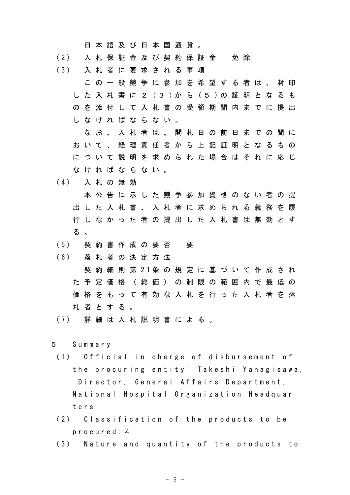日 本 語 及 び 日 本 国 通 貨 。

- (2) 入 札 保 証 金 及 び 契 約 保 証 金 免 除
- ( 3 ) 入 札 者 に 要 求 さ れ る 事 項
	- こ の 一 般 競 争 に 参 加 を 希 望 す る 者 は 、 封 印 し た 入 札 書 に 2 ( 3 ) か ら ( 5 ) の 証 明 と な る も の を 添 付 し て 入 札 書 の 受 領 期 間 内 ま で に 提 出 し な け れ ば な ら な い 。
	- な お 、 入 札 者 は 、 開 札 日 の 前 日 ま で の 間 に お い て 、 経 理 責 任 者 か ら 上 記 証 明 と な る も の に つ い て 説 明 を 求 め ら れ た 場 合 は そ れ に 応 じ な け れ ば な ら な い 。
- ( 4 ) 入 札 の 無 効
	- 本 公 告 に 示 し た 競 争 参 加 資 格 の な い 者 の 提 出 し た 入 札 書 、 入 札 者 に 求 め ら れ る 義 務 を 履 行 し な か っ た 者 の 提 出 し た 入 札 書 は 無 効 と す る 。
- ( 5 ) 契 約 書 作 成 の 要 否 要
- ( 6 ) 落 札 者 の 決 定 方 法
- 契 約 細 則 第 2 1 条 の 規 定 に 基 づ い て 作 成 さ れ た 予 定 価 格 ( 総 価 ) の 制 限 の 範 囲 内 で 最 低 の 価 格 を も っ て 有 効 な 入 札 を 行 っ た 入 札 者 を 落 札 者 と す る 。
- ( 7 ) 詳 細 は 入 札 説 明 書 に よ る 。
- 5 S u m m a r y
- (1) Official in charge of disbursement of the procuring entity: Takeshi Yanagisawa, Director, General Affairs Department, National Hospital Organization Headquart e r s
- (2) Classification of the products to be p r o c u r e d : 4
- (3) Nature and quantity of the products to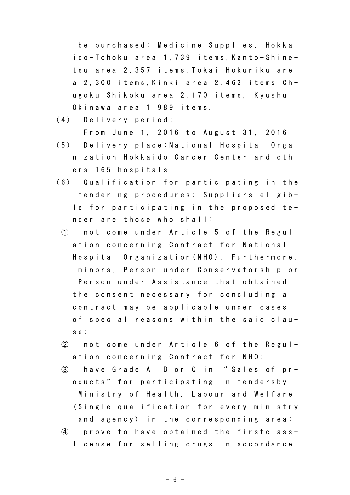be purchased: Medicine Supplies, Hokkaido-Tohoku area 1,739 items, Kanto-Shinetsu area 2,357 items, Tokai-Hokuriku area 2, 300 items, Kinki area 2, 463 items, Chugoku-Shikoku area 2,170 items, Kyushu-Okinawa area 1,989 items.

(4) Delivery period:

From June 1, 2016 to August 31, 2016

- (5) Delivery place: National Hospital Organization Hokkaido Cancer Center and others 165 hospitals
- (6) Qualification for participating in the tendering procedures: Suppliers eligible for participating in the proposed tender are those who shall:
	- (1) not come under Article 5 of the Regulation concerning Contract for National Hospital Organization (NHO). Furthermore, minors, Person under Conservatorship or Person under Assistance that obtained the consent necessary for concluding a contract may be applicable under cases of special reasons within the said claus e ;
	- $(2)$  not come under Article 6 of the Regulation concerning Contract for NHO;
	- 3 have Grade A, B or C in "Sales of products" for participating in tendersby Ministry of Health, Labour and Welfare (Single qualification for every ministry and agency) in the corresponding area;
	- $\phi$  prove to have obtained the firstclasslicense for selling drugs in accordance